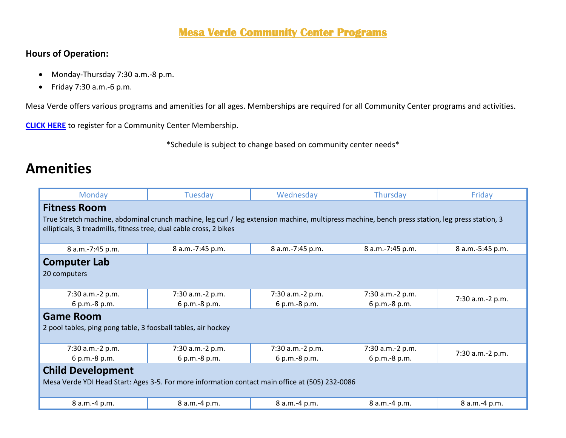#### **Mesa Verde Community Center Programs**

#### **Hours of Operation:**

- Monday-Thursday 7:30 a.m.-8 p.m.
- Friday 7:30 a.m.-6 p.m.

Mesa Verde offers various programs and amenities for all ages. Memberships are required for all Community Center programs and activities.

**[CLICK HERE](https://web2.myvscloud.com/wbwsc/nmalbuquerquewt.wsc/search.html?module=PM&type=CC&SessionID=d846710dc56d5463f537aafcaa509fe683a16764b8a199b747fabb22a632bf00b5cd4ef582907e548730d0f15f5e48947ca2713046b42ddc29ca9d724aa72ffa)** to register for a Community Center Membership.

\*Schedule is subject to change based on community center needs\*

### **Amenities**

| Monday                                                                                                                                          | Tuesday          | Wednesday        | Thursday         | Friday           |  |
|-------------------------------------------------------------------------------------------------------------------------------------------------|------------------|------------------|------------------|------------------|--|
| <b>Fitness Room</b>                                                                                                                             |                  |                  |                  |                  |  |
| True Stretch machine, abdominal crunch machine, leg curl / leg extension machine, multipress machine, bench press station, leg press station, 3 |                  |                  |                  |                  |  |
| ellipticals, 3 treadmills, fitness tree, dual cable cross, 2 bikes                                                                              |                  |                  |                  |                  |  |
|                                                                                                                                                 |                  |                  |                  |                  |  |
| 8 a.m.-7:45 p.m.                                                                                                                                | 8 a.m.-7:45 p.m. | 8 a.m.-7:45 p.m. | 8 a.m.-7:45 p.m. | 8 a.m.-5:45 p.m. |  |
| <b>Computer Lab</b>                                                                                                                             |                  |                  |                  |                  |  |
| 20 computers                                                                                                                                    |                  |                  |                  |                  |  |
|                                                                                                                                                 |                  |                  |                  |                  |  |
| 7:30 a.m.-2 p.m.                                                                                                                                | 7:30 a.m.-2 p.m. | 7:30 a.m.-2 p.m. | 7:30 a.m.-2 p.m. |                  |  |
| 6 p.m.-8 p.m.                                                                                                                                   | 6 p.m.-8 p.m.    | 6 p.m.-8 p.m.    | 6 p.m.-8 p.m.    | 7:30 a.m.-2 p.m. |  |
| <b>Game Room</b>                                                                                                                                |                  |                  |                  |                  |  |
| 2 pool tables, ping pong table, 3 foosball tables, air hockey                                                                                   |                  |                  |                  |                  |  |
|                                                                                                                                                 |                  |                  |                  |                  |  |
| 7:30 a.m.-2 p.m.                                                                                                                                | 7:30 a.m.-2 p.m. | 7:30 a.m.-2 p.m. | 7:30 a.m.-2 p.m. | 7:30 a.m.-2 p.m. |  |
| 6 p.m.-8 p.m.                                                                                                                                   | 6 p.m.-8 p.m.    | 6 p.m.-8 p.m.    | 6 p.m.-8 p.m.    |                  |  |
| <b>Child Development</b>                                                                                                                        |                  |                  |                  |                  |  |
| Mesa Verde YDI Head Start: Ages 3-5. For more information contact main office at (505) 232-0086                                                 |                  |                  |                  |                  |  |
|                                                                                                                                                 |                  |                  |                  |                  |  |
| 8 a.m.-4 p.m.                                                                                                                                   | 8 a.m.-4 p.m.    | 8 a.m.-4 p.m.    | 8 a.m.-4 p.m.    | 8 a.m.-4 p.m.    |  |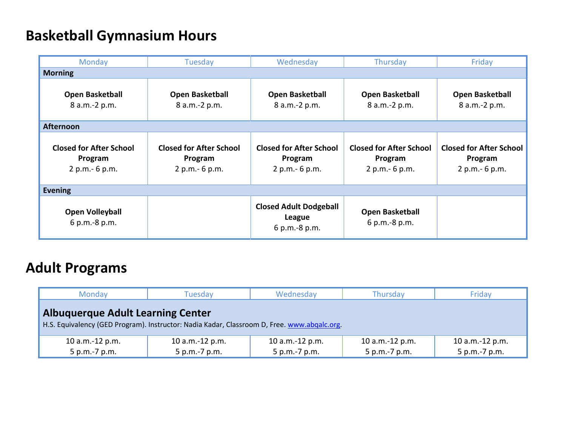# **Basketball Gymnasium Hours**

| Monday                                                       | Tuesday                                                      | Wednesday                                                       | Thursday                                                     | Friday                                                       |  |
|--------------------------------------------------------------|--------------------------------------------------------------|-----------------------------------------------------------------|--------------------------------------------------------------|--------------------------------------------------------------|--|
| <b>Morning</b>                                               |                                                              |                                                                 |                                                              |                                                              |  |
| <b>Open Basketball</b><br>8 a.m.-2 p.m.                      | Open Basketball<br>8 a.m.-2 p.m.                             | <b>Open Basketball</b><br>8 a.m.-2 p.m.                         | <b>Open Basketball</b><br>8 a.m.-2 p.m.                      | <b>Open Basketball</b><br>8 a.m.-2 p.m.                      |  |
| <b>Afternoon</b>                                             |                                                              |                                                                 |                                                              |                                                              |  |
| <b>Closed for After School</b><br>Program<br>2 p.m. - 6 p.m. | <b>Closed for After School</b><br>Program<br>2 p.m. - 6 p.m. | <b>Closed for After School</b><br>Program<br>2 p.m. - 6 p.m.    | <b>Closed for After School</b><br>Program<br>2 p.m. - 6 p.m. | <b>Closed for After School</b><br>Program<br>2 p.m. - 6 p.m. |  |
| <b>Evening</b>                                               |                                                              |                                                                 |                                                              |                                                              |  |
| <b>Open Volleyball</b><br>6 p.m.-8 p.m.                      |                                                              | <b>Closed Adult Dodgeball</b><br><b>League</b><br>6 p.m.-8 p.m. | <b>Open Basketball</b><br>6 p.m.-8 p.m.                      |                                                              |  |

# **Adult Programs**

| Monday                                                                                                                                  | Tuesday         | Wednesday       | Thursday        | Friday          |  |  |
|-----------------------------------------------------------------------------------------------------------------------------------------|-----------------|-----------------|-----------------|-----------------|--|--|
| <b>Albuquerque Adult Learning Center</b><br>H.S. Equivalency (GED Program). Instructor: Nadia Kadar, Classroom D, Free. www.abgalc.org. |                 |                 |                 |                 |  |  |
| 10 a.m.-12 p.m.                                                                                                                         | 10 a.m.-12 p.m. | 10 a.m.-12 p.m. | 10 a.m.-12 p.m. | 10 a.m.-12 p.m. |  |  |
| 5 p.m.-7 p.m.                                                                                                                           | 5 p.m.-7 p.m.   | 5 p.m.-7 p.m.   | 5 p.m.-7 p.m.   | 5 p.m.-7 p.m.   |  |  |